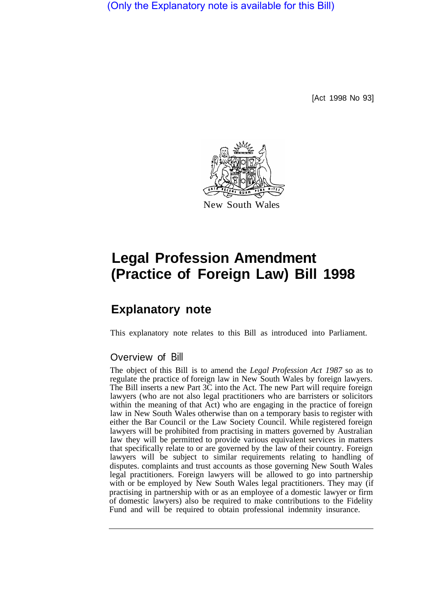(Only the Explanatory note is available for this Bill)

[Act 1998 No 93]



# **Legal Profession Amendment (Practice of Foreign Law) Bill 1998**

## **Explanatory note**

This explanatory note relates to this Bill as introduced into Parliament.

#### Overview of Bill

The object of this Bill is to amend the *Legal Profession Act 1987* so as to regulate the practice of foreign law in New South Wales by foreign lawyers. The Bill inserts a new Part 3C into the Act. The new Part will require foreign lawyers (who are not also legal practitioners who are barristers or solicitors within the meaning of that Act) who are engaging in the practice of foreign law in New South Wales otherwise than on a temporary basis to register with either the Bar Council or the Law Society Council. While registered foreign lawyers will be prohibited from practising in matters governed by Australian Iaw they will be permitted to provide various equivalent services in matters that specifically relate to or are governed by the law of their country. Foreign lawyers will be subject to similar requirements relating to handling of disputes. complaints and trust accounts as those governing New South Wales legal practitioners. Foreign lawyers will be allowed to go into partnership with or be employed by New South Wales legal practitioners. They may (if practising in partnership with or as an employee of a domestic lawyer or firm of domestic lawyers) also be required to make contributions to the Fidelity Fund and will be required to obtain professional indemnity insurance.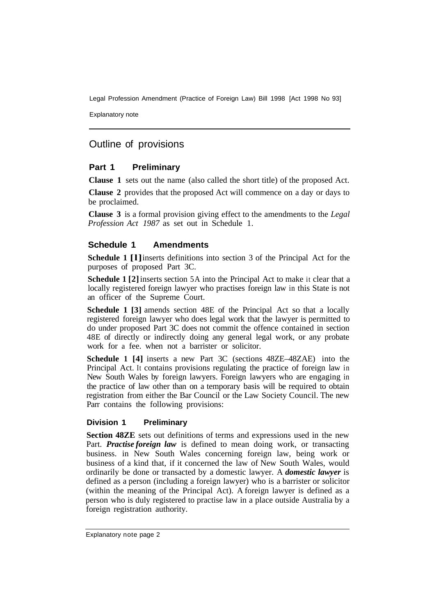Explanatory note

### Outline of provisions

#### **Part 1 Preliminary**

**Clause 1** sets out the name (also called the short title) of the proposed Act.

**Clause 2** provides that the proposed Act will commence on a day or days to be proclaimed.

**Clause 3** is a formal provision giving effect to the amendments to the *Legal Profession Act 1987* as set out in Schedule 1.

#### **Schedule 1 Amendments**

**Schedule 1 [l]** inserts definitions into section 3 of the Principal Act for the purposes of proposed Part 3C.

**Schedule 1 [2]** inserts section 5A into the Principal Act to make it clear that a locally registered foreign lawyer who practises foreign law in this State is not an officer of the Supreme Court.

**Schedule 1 [3]** amends section 48E of the Principal Act so that a locally registered foreign lawyer who does legal work that the lawyer is permitted to do under proposed Part 3C does not commit the offence contained in section 48E of directly or indirectly doing any general legal work, or any probate work for a fee. when not a barrister or solicitor.

**Schedule 1 [4]** inserts a new Part 3C (sections 48ZE–48ZAE) into the Principal Act. It contains provisions regulating the practice of foreign law in New South Wales by foreign lawyers. Foreign lawyers who are engaging in the practice of law other than on a temporary basis will be required to obtain registration from either the Bar Council or the Law Society Council. The new Parr contains the following provisions:

#### **Division 1 Preliminary**

**Section 48ZE** sets out definitions of terms and expressions used in the new Part. *Practise foreign law* is defined to mean doing work, or transacting business. in New South Wales concerning foreign law, being work or business of a kind that, if it concerned the law of New South Wales, would ordinarily be done or transacted by a domestic lawyer. A *domestic lawyer* is defined as a person (including a foreign lawyer) who is a barrister or solicitor (within the meaning of the Principal Act). A foreign lawyer is defined as a person who is duly registered to practise law in a place outside Australia by a foreign registration authority.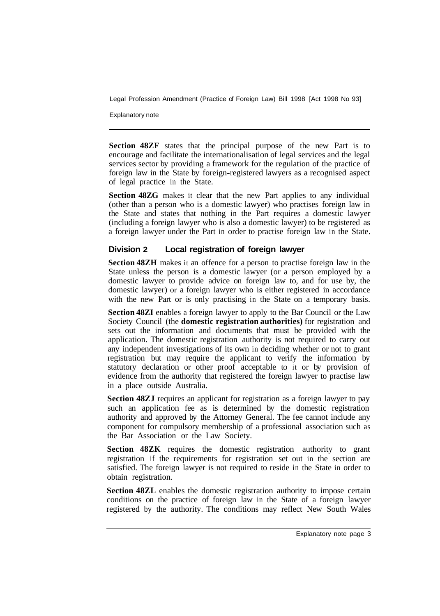Explanatory note

**Section 48ZF** states that the principal purpose of the new Part is to encourage and facilitate the internationalisation of legal services and the legal services sector by providing a framework for the regulation of the practice of foreign law in the State by foreign-registered lawyers as a recognised aspect of legal practice in the State.

**Section 48ZG** makes it clear that the new Part applies to any individual (other than a person who is a domestic lawyer) who practises foreign law in the State and states that nothing in the Part requires a domestic lawyer (including a foreign lawyer who is also a domestic lawyer) to be registered as a foreign lawyer under the Part in order to practise foreign law in the State.

#### **Division 2 Local registration of foreign lawyer**

**Section 48ZH** makes it an offence for a person to practise foreign law in the State unless the person is a domestic lawyer (or a person employed by a domestic lawyer to provide advice on foreign law to, and for use by, the domestic lawyer) or a foreign lawyer who is either registered in accordance with the new Part or is only practising in the State on a temporary basis.

**Section 48ZI** enables a foreign lawyer to apply to the Bar Council or the Law Society Council (the **domestic registration authorities)** for registration and sets out the information and documents that must be provided with the application. The domestic registration authority is not required to carry out any independent investigations of its own in deciding whether or not to grant registration but may require the applicant to verify the information by statutory declaration or other proof acceptable to it or by provision of evidence from the authority that registered the foreign lawyer to practise law in a place outside Australia.

**Section 48ZJ** requires an applicant for registration as a foreign lawyer to pay such an application fee as is determined by the domestic registration authority and approved by the Attorney General. The fee cannot include any component for compulsory membership of a professional association such as the Bar Association or the Law Society.

**Section 48ZK** requires the domestic registration authority to grant registration if the requirements for registration set out in the section are satisfied. The foreign lawyer is not required to reside in the State in order to obtain registration.

**Section 48ZL** enables the domestic registration authority to impose certain conditions on the practice of foreign law in the State of a foreign lawyer registered by the authority. The conditions may reflect New South Wales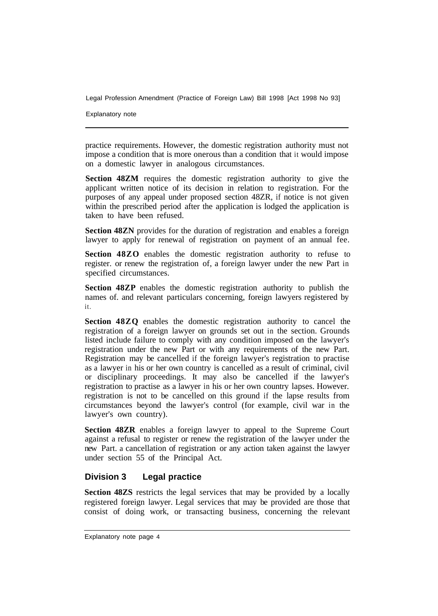Explanatory note

practice requirements. However, the domestic registration authority must not impose a condition that is more onerous than a condition that it would impose on a domestic lawyer in analogous circumstances.

**Section 48ZM** requires the domestic registration authority to give the applicant written notice of its decision in relation to registration. For the purposes of any appeal under proposed section 48ZR, if notice is not given within the prescribed period after the application is lodged the application is taken to have been refused.

**Section 48ZN** provides for the duration of registration and enables a foreign lawyer to apply for renewal of registration on payment of an annual fee.

**Section 48ZO** enables the domestic registration authority to refuse to register. or renew the registration of, a foreign lawyer under the new Part in specified circumstances.

**Section 48ZP** enables the domestic registration authority to publish the names of. and relevant particulars concerning, foreign lawyers registered by it.

**Section 48ZQ** enables the domestic registration authority to cancel the registration of a foreign lawyer on grounds set out in the section. Grounds listed include failure to comply with any condition imposed on the lawyer's registration under the new Part or with any requirements of the new Part. Registration may be cancelled if the foreign lawyer's registration to practise as a lawyer in his or her own country is cancelled as a result of criminal, civil or disciplinary proceedings. It may also be cancelled if the lawyer's registration to practise as a lawyer in his or her own country lapses. However. registration is not to be cancelled on this ground if the lapse results from circumstances beyond the lawyer's control (for example, civil war in the lawyer's own country).

**Section 48ZR** enables a foreign lawyer to appeal to the Supreme Court against a refusal to register or renew the registration of the lawyer under the new Part. a cancellation of registration or any action taken against the lawyer under section 55 of the Principal Act.

#### **Division 3 Legal practice**

**Section 48ZS** restricts the legal services that may be provided by a locally registered foreign lawyer. Legal services that may be provided are those that consist of doing work, or transacting business, concerning the relevant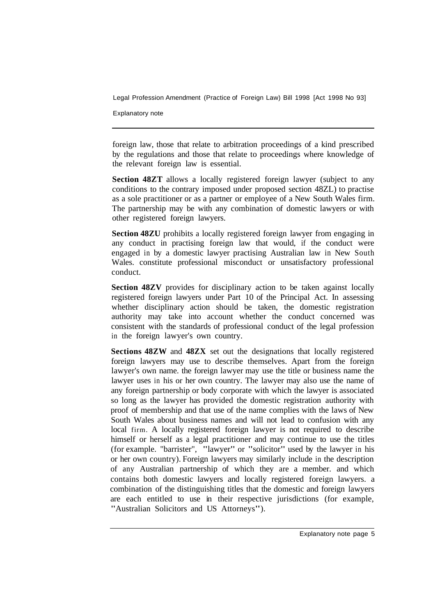Explanatory note

foreign law, those that relate to arbitration proceedings of a kind prescribed by the regulations and those that relate to proceedings where knowledge of the relevant foreign law is essential.

**Section 48ZT** allows a locally registered foreign lawyer (subject to any conditions to the contrary imposed under proposed section 48ZL) to practise as a sole practitioner or as a partner or employee of a New South Wales firm. The partnership may be with any combination of domestic lawyers or with other registered foreign lawyers.

**Section 48ZU** prohibits a locally registered foreign lawyer from engaging in any conduct in practising foreign law that would, if the conduct were engaged in by a domestic lawyer practising Australian law in New South Wales. constitute professional misconduct or unsatisfactory professional conduct.

**Section 48ZV** provides for disciplinary action to be taken against locally registered foreign lawyers under Part 10 of the Principal Act. In assessing whether disciplinary action should be taken, the domestic registration authority may take into account whether the conduct concerned was consistent with the standards of professional conduct of the legal profession in the foreign lawyer's own country.

**Sections 48ZW** and **48ZX** set out the designations that locally registered foreign lawyers may use to describe themselves. Apart from the foreign lawyer's own name. the foreign lawyer may use the title or business name the lawyer uses in his or her own country. The lawyer may also use the name of any foreign partnership or body corporate with which the lawyer is associated so long as the lawyer has provided the domestic registration authority with proof of membership and that use of the name complies with the laws of New South Wales about business names and will not lead to confusion with any local firm. A locally registered foreign lawyer is not required to describe himself or herself as a legal practitioner and may continue to use the titles (for example. "barrister", "lawyer" or "solicitor" used by the lawyer in his or her own country). Foreign lawyers may similarly include in the description of any Australian partnership of which they are a member. and which contains both domestic lawyers and locally registered foreign lawyers. a combination of the distinguishing titles that the domestic and foreign lawyers are each entitled to use in their respective jurisdictions (for example, "Australian Solicitors and US Attorneys").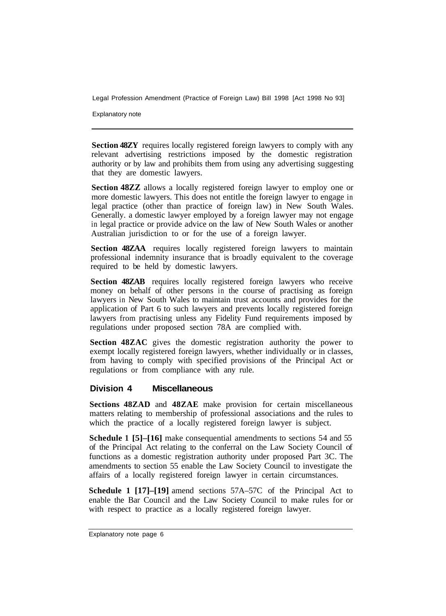Explanatory note

**Section 48ZY** requires locally registered foreign lawyers to comply with any relevant advertising restrictions imposed by the domestic registration authority or by law and prohibits them from using any advertising suggesting that they are domestic lawyers.

**Section 48ZZ** allows a locally registered foreign lawyer to employ one or more domestic lawyers. This does not entitle the foreign lawyer to engage in legal practice (other than practice of foreign law) in New South Wales. Generally. a domestic lawyer employed by a foreign lawyer may not engage in legal practice or provide advice on the law of New South Wales or another Australian jurisdiction to or for the use of a foreign lawyer.

**Section 48ZAA** requires locally registered foreign lawyers to maintain professional indemnity insurance that is broadly equivalent to the coverage required to be held by domestic lawyers.

**Section 48ZAB** requires locally registered foreign lawyers who receive money on behalf of other persons in the course of practising as foreign lawyers in New South Wales to maintain trust accounts and provides for the application of Part 6 to such lawyers and prevents locally registered foreign lawyers from practising unless any Fidelity Fund requirements imposed by regulations under proposed section 78A are complied with.

**Section 48ZAC** gives the domestic registration authority the power to exempt locally registered foreign lawyers, whether individually or in classes, from having to comply with specified provisions of the Principal Act or regulations or from compliance with any rule.

#### **Division 4 Miscellaneous**

**Sections 48ZAD** and **48ZAE** make provision for certain miscellaneous matters relating to membership of professional associations and the rules to which the practice of a locally registered foreign lawyer is subject.

**Schedule 1 [5]–[16]** make consequential amendments to sections 54 and 55 of the Principal Act relating to the conferral on the Law Society Council of functions as a domestic registration authority under proposed Part 3C. The amendments to section 55 enable the Law Society Council to investigate the affairs of a locally registered foreign lawyer in certain circumstances.

**Schedule 1 [17]–[19]** amend sections 57A–57C of the Principal Act to enable the Bar Council and the Law Society Council to make rules for or with respect to practice as a locally registered foreign lawyer.